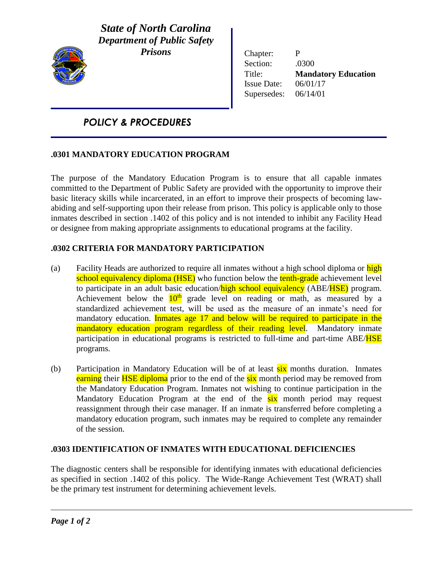

*State of North Carolina Department of Public Safety Prisons*

Chapter: P Section: .0300 Title: **Mandatory Education** Issue Date: 06/01/17 Supersedes: 06/14/01

# *POLICY & PROCEDURES*

# **.0301 MANDATORY EDUCATION PROGRAM**

The purpose of the Mandatory Education Program is to ensure that all capable inmates committed to the Department of Public Safety are provided with the opportunity to improve their basic literacy skills while incarcerated, in an effort to improve their prospects of becoming lawabiding and self-supporting upon their release from prison. This policy is applicable only to those inmates described in section .1402 of this policy and is not intended to inhibit any Facility Head or designee from making appropriate assignments to educational programs at the facility.

## **.0302 CRITERIA FOR MANDATORY PARTICIPATION**

- (a) Facility Heads are authorized to require all inmates without a high school diploma or high school equivalency diploma (HSE) who function below the tenth-grade achievement level to participate in an adult basic education/high school equivalency (ABE/HSE) program. Achievement below the  $10<sup>th</sup>$  grade level on reading or math, as measured by a standardized achievement test, will be used as the measure of an inmate's need for mandatory education. Inmates age 17 and below will be required to participate in the mandatory education program regardless of their reading level. Mandatory inmate participation in educational programs is restricted to full-time and part-time ABE/HSE programs.
- (b) Participation in Mandatory Education will be of at least six months duration. Inmates earning their **HSE diploma** prior to the end of the six month period may be removed from the Mandatory Education Program. Inmates not wishing to continue participation in the Mandatory Education Program at the end of the **six** month period may request reassignment through their case manager. If an inmate is transferred before completing a mandatory education program, such inmates may be required to complete any remainder of the session.

## **.0303 IDENTIFICATION OF INMATES WITH EDUCATIONAL DEFICIENCIES**

The diagnostic centers shall be responsible for identifying inmates with educational deficiencies as specified in section .1402 of this policy. The Wide-Range Achievement Test (WRAT) shall be the primary test instrument for determining achievement levels.